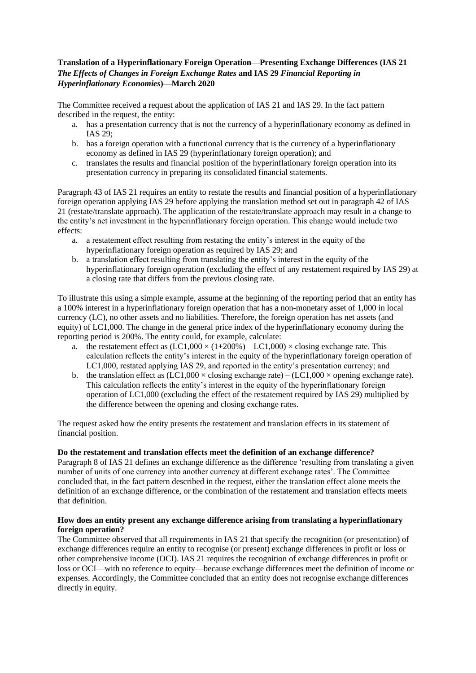## **Translation of a Hyperinflationary Foreign Operation—Presenting Exchange Differences (IAS 21**  *The Effects of Changes in Foreign Exchange Rates* **and IAS 29** *Financial Reporting in Hyperinflationary Economies***)—March 2020**

The Committee received a request about the application of IAS 21 and IAS 29. In the fact pattern described in the request, the entity:

- a. has a presentation currency that is not the currency of a hyperinflationary economy as defined in IAS 29;
- b. has a foreign operation with a functional currency that is the currency of a hyperinflationary economy as defined in IAS 29 (hyperinflationary foreign operation); and
- c. translates the results and financial position of the hyperinflationary foreign operation into its presentation currency in preparing its consolidated financial statements.

Paragraph 43 of IAS 21 requires an entity to restate the results and financial position of a hyperinflationary foreign operation applying IAS 29 before applying the translation method set out in paragraph 42 of IAS 21 (restate/translate approach). The application of the restate/translate approach may result in a change to the entity's net investment in the hyperinflationary foreign operation. This change would include two effects:

- a. a restatement effect resulting from restating the entity's interest in the equity of the hyperinflationary foreign operation as required by IAS 29; and
- b. a translation effect resulting from translating the entity's interest in the equity of the hyperinflationary foreign operation (excluding the effect of any restatement required by IAS 29) at a closing rate that differs from the previous closing rate.

To illustrate this using a simple example, assume at the beginning of the reporting period that an entity has a 100% interest in a hyperinflationary foreign operation that has a non-monetary asset of 1,000 in local currency (LC), no other assets and no liabilities. Therefore, the foreign operation has net assets (and equity) of LC1,000. The change in the general price index of the hyperinflationary economy during the reporting period is 200%. The entity could, for example, calculate:

- a. the restatement effect as  $(LC1,000 \times (1+200\%) LC1,000) \times closing$  exchange rate. This calculation reflects the entity's interest in the equity of the hyperinflationary foreign operation of LC1,000, restated applying IAS 29, and reported in the entity's presentation currency; and
- b. the translation effect as  $(LC1,000 \times \text{closing exchange rate}) (LC1,000 \times \text{ opening exchange rate})$ . This calculation reflects the entity's interest in the equity of the hyperinflationary foreign operation of LC1,000 (excluding the effect of the restatement required by IAS 29) multiplied by the difference between the opening and closing exchange rates.

The request asked how the entity presents the restatement and translation effects in its statement of financial position.

## **Do the restatement and translation effects meet the definition of an exchange difference?**

Paragraph 8 of IAS 21 defines an exchange difference as the difference 'resulting from translating a given number of units of one currency into another currency at different exchange rates'. The Committee concluded that, in the fact pattern described in the request, either the translation effect alone meets the definition of an exchange difference, or the combination of the restatement and translation effects meets that definition.

## **How does an entity present any exchange difference arising from translating a hyperinflationary foreign operation?**

The Committee observed that all requirements in IAS 21 that specify the recognition (or presentation) of exchange differences require an entity to recognise (or present) exchange differences in profit or loss or other comprehensive income (OCI). IAS 21 requires the recognition of exchange differences in profit or loss or OCI—with no reference to equity—because exchange differences meet the definition of income or expenses. Accordingly, the Committee concluded that an entity does not recognise exchange differences directly in equity.